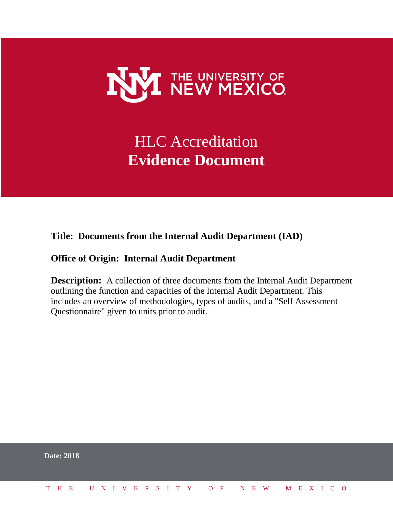

# HLC Accreditation **Evidence Document**

## **Title: Documents from the Internal Audit Department (IAD)**

## **Office of Origin: Internal Audit Department**

**Description:** A collection of three documents from the Internal Audit Department outlining the function and capacities of the Internal Audit Department. This includes an overview of methodologies, types of audits, and a "Self Assessment Questionnaire" given to units prior to audit.

|  | <b>Date: 2018</b>            |  |  |  |  |  |  |  |  |  |  |  |  |  |
|--|------------------------------|--|--|--|--|--|--|--|--|--|--|--|--|--|
|  | THE UNIVERSITY OF NEW MEXICO |  |  |  |  |  |  |  |  |  |  |  |  |  |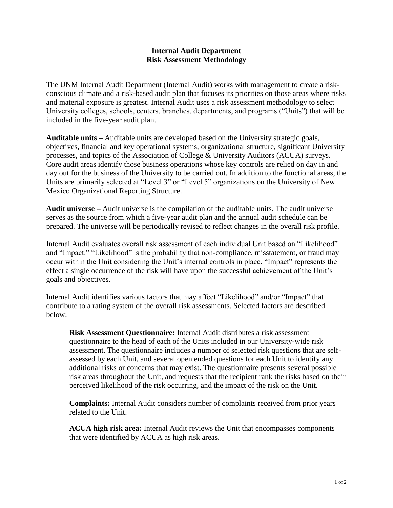#### **Internal Audit Department Risk Assessment Methodology**

The UNM Internal Audit Department (Internal Audit) works with management to create a riskconscious climate and a risk-based audit plan that focuses its priorities on those areas where risks and material exposure is greatest. Internal Audit uses a risk assessment methodology to select University colleges, schools, centers, branches, departments, and programs ("Units") that will be included in the five-year audit plan.

**Auditable units –** Auditable units are developed based on the University strategic goals, objectives, financial and key operational systems, organizational structure, significant University processes, and topics of the Association of College & University Auditors (ACUA) surveys. Core audit areas identify those business operations whose key controls are relied on day in and day out for the business of the University to be carried out. In addition to the functional areas, the Units are primarily selected at "Level 3" or "Level 5" organizations on the University of New Mexico Organizational Reporting Structure.

**Audit universe –** Audit universe is the compilation of the auditable units. The audit universe serves as the source from which a five-year audit plan and the annual audit schedule can be prepared. The universe will be periodically revised to reflect changes in the overall risk profile.

Internal Audit evaluates overall risk assessment of each individual Unit based on "Likelihood" and "Impact." "Likelihood" is the probability that non-compliance, misstatement, or fraud may occur within the Unit considering the Unit's internal controls in place. "Impact" represents the effect a single occurrence of the risk will have upon the successful achievement of the Unit's goals and objectives.

Internal Audit identifies various factors that may affect "Likelihood" and/or "Impact" that contribute to a rating system of the overall risk assessments. Selected factors are described below:

**Risk Assessment Questionnaire:** Internal Audit distributes a risk assessment questionnaire to the head of each of the Units included in our University-wide risk assessment. The questionnaire includes a number of selected risk questions that are selfassessed by each Unit, and several open ended questions for each Unit to identify any additional risks or concerns that may exist. The questionnaire presents several possible risk areas throughout the Unit, and requests that the recipient rank the risks based on their perceived likelihood of the risk occurring, and the impact of the risk on the Unit.

**Complaints:** Internal Audit considers number of complaints received from prior years related to the Unit.

**ACUA high risk area:** Internal Audit reviews the Unit that encompasses components that were identified by ACUA as high risk areas.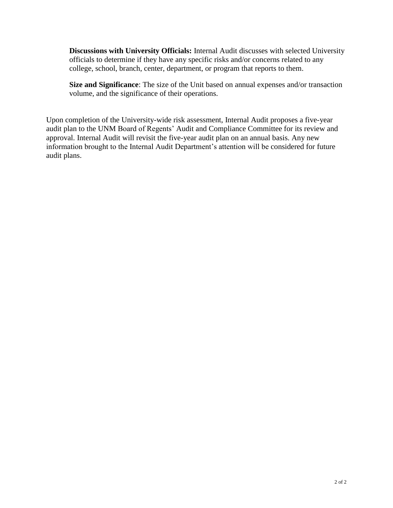**Discussions with University Officials:** Internal Audit discusses with selected University officials to determine if they have any specific risks and/or concerns related to any college, school, branch, center, department, or program that reports to them.

**Size and Significance**: The size of the Unit based on annual expenses and/or transaction volume, and the significance of their operations.

Upon completion of the University-wide risk assessment, Internal Audit proposes a five-year audit plan to the UNM Board of Regents' Audit and Compliance Committee for its review and approval. Internal Audit will revisit the five-year audit plan on an annual basis. Any new information brought to the Internal Audit Department's attention will be considered for future audit plans.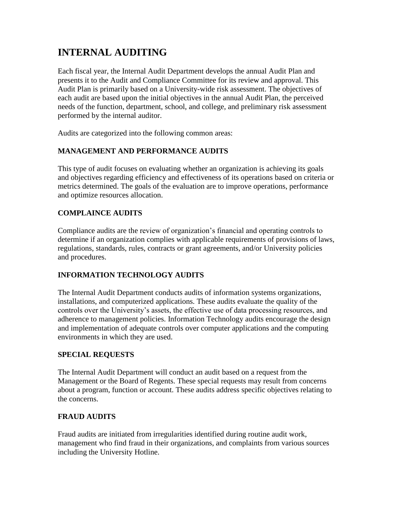## **INTERNAL AUDITING**

Each fiscal year, the Internal Audit Department develops the annual Audit Plan and presents it to the Audit and Compliance Committee for its review and approval. This Audit Plan is primarily based on a University-wide risk assessment. The objectives of each audit are based upon the initial objectives in the annual Audit Plan, the perceived needs of the function, department, school, and college, and preliminary risk assessment performed by the internal auditor.

Audits are categorized into the following common areas:

## **MANAGEMENT AND PERFORMANCE AUDITS**

This type of audit focuses on evaluating whether an organization is achieving its goals and objectives regarding efficiency and effectiveness of its operations based on criteria or metrics determined. The goals of the evaluation are to improve operations, performance and optimize resources allocation.

## **COMPLAINCE AUDITS**

Compliance audits are the review of organization's financial and operating controls to determine if an organization complies with applicable requirements of provisions of laws, regulations, standards, rules, contracts or grant agreements, and/or University policies and procedures.

## **INFORMATION TECHNOLOGY AUDITS**

The Internal Audit Department conducts audits of information systems organizations, installations, and computerized applications. These audits evaluate the quality of the controls over the University's assets, the effective use of data processing resources, and adherence to management policies. Information Technology audits encourage the design and implementation of adequate controls over computer applications and the computing environments in which they are used.

### **SPECIAL REQUESTS**

The Internal Audit Department will conduct an audit based on a request from the Management or the Board of Regents. These special requests may result from concerns about a program, function or account. These audits address specific objectives relating to the concerns.

## **FRAUD AUDITS**

Fraud audits are initiated from irregularities identified during routine audit work, management who find fraud in their organizations, and complaints from various sources including the University Hotline.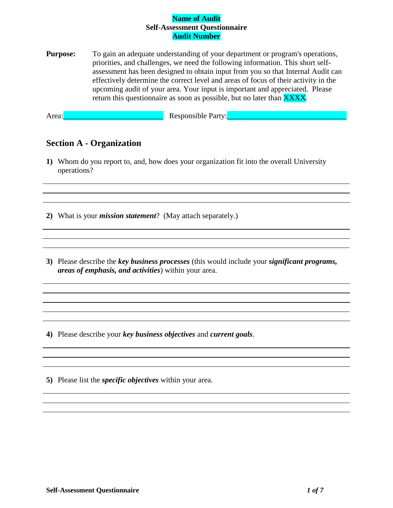**Purpose:** To gain an adequate understanding of your department or program's operations, priorities, and challenges, we need the following information. This short selfassessment has been designed to obtain input from you so that Internal Audit can effectively determine the correct level and areas of focus of their activity in the upcoming audit of your area. Your input is important and appreciated. Please return this questionnaire as soon as possible, but no later than **XXXX**.

Area:\_\_\_\_\_\_\_\_\_\_\_\_\_\_\_\_\_\_\_\_\_\_\_\_\_\_ Responsible Party:\_\_\_\_\_\_\_\_\_\_\_\_\_\_\_\_\_\_\_\_\_\_\_\_\_\_\_\_\_\_\_

## **Section A - Organization**

**1)** Whom do you report to, and, how does your organization fit into the overall University operations?

**2)** What is your *mission statement*? (May attach separately.)

**3)** Please describe the *key business processes* (this would include your *significant programs, areas of emphasis, and activities*) within your area.

**4)** Please describe your *key business objectives* and *current goals*.

**5)** Please list the *specific objectives* within your area.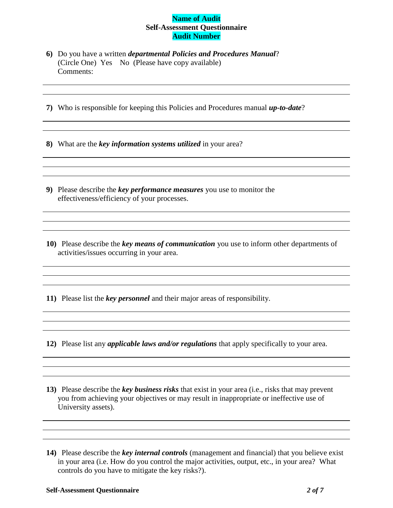- **6)** Do you have a written *departmental Policies and Procedures Manual*? (Circle One) Yes No (Please have copy available) Comments:
- **7)** Who is responsible for keeping this Policies and Procedures manual *up-to-date*?

**8)** What are the *key information systems utilized* in your area?

- **9)** Please describe the *key performance measures* you use to monitor the effectiveness/efficiency of your processes.
- **10)** Please describe the *key means of communication* you use to inform other departments of activities/issues occurring in your area.

**11)** Please list the *key personnel* and their major areas of responsibility.

- **12)** Please list any *applicable laws and/or regulations* that apply specifically to your area.
- **13)** Please describe the *key business risks* that exist in your area (i.e., risks that may prevent you from achieving your objectives or may result in inappropriate or ineffective use of University assets).

**<sup>14)</sup>** Please describe the *key internal controls* (management and financial) that you believe exist in your area (i.e. How do you control the major activities, output, etc., in your area? What controls do you have to mitigate the key risks?).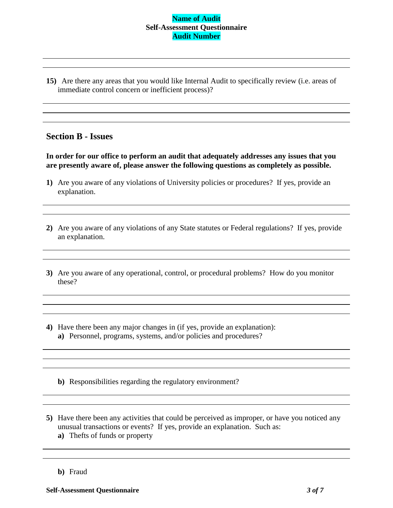**15)** Are there any areas that you would like Internal Audit to specifically review (i.e. areas of immediate control concern or inefficient process)?

## **Section B - Issues**

**In order for our office to perform an audit that adequately addresses any issues that you are presently aware of, please answer the following questions as completely as possible.**

- **1)** Are you aware of any violations of University policies or procedures? If yes, provide an explanation.
- **2)** Are you aware of any violations of any State statutes or Federal regulations? If yes, provide an explanation.
- **3)** Are you aware of any operational, control, or procedural problems? How do you monitor these?
- **4)** Have there been any major changes in (if yes, provide an explanation): **a)** Personnel, programs, systems, and/or policies and procedures?
	- **b)** Responsibilities regarding the regulatory environment?
- **5)** Have there been any activities that could be perceived as improper, or have you noticed any unusual transactions or events? If yes, provide an explanation. Such as:
	- **a)** Thefts of funds or property
	- **b)** Fraud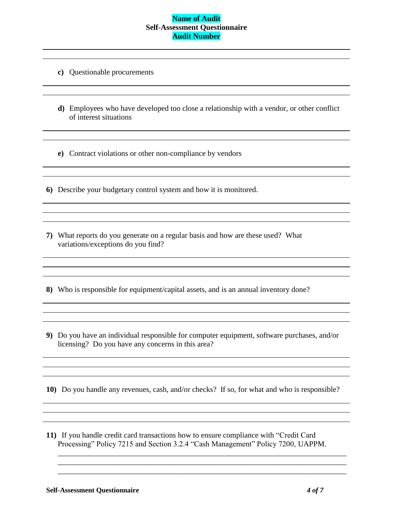- **c)** Questionable procurements
- **d)** Employees who have developed too close a relationship with a vendor, or other conflict of interest situations
- **e)** Contract violations or other non-compliance by vendors

<u> 1989 - Johann Stoff, fransk politik (d. 1989)</u>

- **6)** Describe your budgetary control system and how it is monitored.
- **7)** What reports do you generate on a regular basis and how are these used? What variations/exceptions do you find?
- **8)** Who is responsible for equipment/capital assets, and is an annual inventory done?
- **9)** Do you have an individual responsible for computer equipment, software purchases, and/or licensing? Do you have any concerns in this area?

**10)** Do you handle any revenues, cash, and/or checks? If so, for what and who is responsible?

**11)** If you handle credit card transactions how to ensure compliance with "Credit Card Processing" Policy 7215 and Section 3.2.4 "Cash Management" Policy 7200, UAPPM.

\_\_\_\_\_\_\_\_\_\_\_\_\_\_\_\_\_\_\_\_\_\_\_\_\_\_\_\_\_\_\_\_\_\_\_\_\_\_\_\_\_\_\_\_\_\_\_\_\_\_\_\_\_\_\_\_\_\_\_\_\_\_\_\_\_\_\_\_\_\_\_\_\_\_\_ \_\_\_\_\_\_\_\_\_\_\_\_\_\_\_\_\_\_\_\_\_\_\_\_\_\_\_\_\_\_\_\_\_\_\_\_\_\_\_\_\_\_\_\_\_\_\_\_\_\_\_\_\_\_\_\_\_\_\_\_\_\_\_\_\_\_\_\_\_\_\_\_\_\_\_ \_\_\_\_\_\_\_\_\_\_\_\_\_\_\_\_\_\_\_\_\_\_\_\_\_\_\_\_\_\_\_\_\_\_\_\_\_\_\_\_\_\_\_\_\_\_\_\_\_\_\_\_\_\_\_\_\_\_\_\_\_\_\_\_\_\_\_\_\_\_\_\_\_\_\_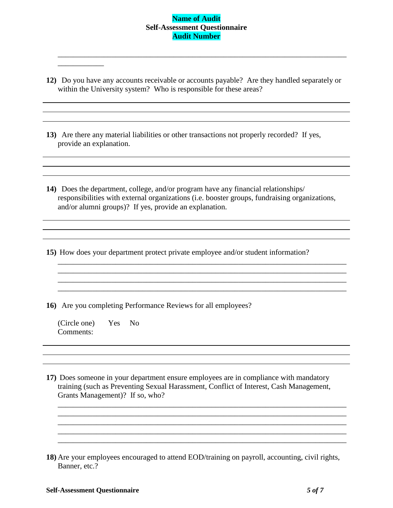\_\_\_\_\_\_\_\_\_\_\_\_\_\_\_\_\_\_\_\_\_\_\_\_\_\_\_\_\_\_\_\_\_\_\_\_\_\_\_\_\_\_\_\_\_\_\_\_\_\_\_\_\_\_\_\_\_\_\_\_\_\_\_\_\_\_\_\_\_\_\_\_\_\_\_

**12)** Do you have any accounts receivable or accounts payable? Are they handled separately or within the University system? Who is responsible for these areas?

**13)** Are there any material liabilities or other transactions not properly recorded? If yes, provide an explanation.

**14)** Does the department, college, and/or program have any financial relationships/ responsibilities with external organizations (i.e. booster groups, fundraising organizations, and/or alumni groups)? If yes, provide an explanation.

<u> 1980 - Johann Stoff, deutscher Stoff, der Stoff, der Stoff, der Stoff, der Stoff, der Stoff, der Stoff, der S</u>

\_\_\_\_\_\_\_\_\_\_\_\_\_\_\_\_\_\_\_\_\_\_\_\_\_\_\_\_\_\_\_\_\_\_\_\_\_\_\_\_\_\_\_\_\_\_\_\_\_\_\_\_\_\_\_\_\_\_\_\_\_\_\_\_\_\_\_\_\_\_\_\_\_\_\_

 $\mathcal{L}_\text{max} = \mathcal{L}_\text{max} = \mathcal{L}_\text{max} = \mathcal{L}_\text{max} = \mathcal{L}_\text{max} = \mathcal{L}_\text{max} = \mathcal{L}_\text{max} = \mathcal{L}_\text{max} = \mathcal{L}_\text{max} = \mathcal{L}_\text{max} = \mathcal{L}_\text{max} = \mathcal{L}_\text{max} = \mathcal{L}_\text{max} = \mathcal{L}_\text{max} = \mathcal{L}_\text{max} = \mathcal{L}_\text{max} = \mathcal{L}_\text{max} = \mathcal{L}_\text{max} = \mathcal{$ 

**15)** How does your department protect private employee and/or student information?

**16)** Are you completing Performance Reviews for all employees?

(Circle one) Yes No Comments:

\_\_\_\_\_\_\_\_\_\_\_\_

**17)** Does someone in your department ensure employees are in compliance with mandatory training (such as Preventing Sexual Harassment, Conflict of Interest, Cash Management, Grants Management)? If so, who?

\_\_\_\_\_\_\_\_\_\_\_\_\_\_\_\_\_\_\_\_\_\_\_\_\_\_\_\_\_\_\_\_\_\_\_\_\_\_\_\_\_\_\_\_\_\_\_\_\_\_\_\_\_\_\_\_\_\_\_\_\_\_\_\_\_\_\_\_\_\_\_\_\_\_\_ \_\_\_\_\_\_\_\_\_\_\_\_\_\_\_\_\_\_\_\_\_\_\_\_\_\_\_\_\_\_\_\_\_\_\_\_\_\_\_\_\_\_\_\_\_\_\_\_\_\_\_\_\_\_\_\_\_\_\_\_\_\_\_\_\_\_\_\_\_\_\_\_\_\_\_

the control of the control of the control of the control of the control of the control of the control of the control of the control of the control of the control of the control of the control of the control of the control

\_\_\_\_\_\_\_\_\_\_\_\_\_\_\_\_\_\_\_\_\_\_\_\_\_\_\_\_\_\_\_\_\_\_\_\_\_\_\_\_\_\_\_\_\_\_\_\_\_\_\_\_\_\_\_\_\_\_\_\_\_\_\_\_\_\_\_\_\_\_\_\_\_\_\_ \_\_\_\_\_\_\_\_\_\_\_\_\_\_\_\_\_\_\_\_\_\_\_\_\_\_\_\_\_\_\_\_\_\_\_\_\_\_\_\_\_\_\_\_\_\_\_\_\_\_\_\_\_\_\_\_\_\_\_\_\_\_\_\_\_\_\_\_\_\_\_\_\_\_\_

**<sup>18)</sup>** Are your employees encouraged to attend EOD/training on payroll, accounting, civil rights, Banner, etc.?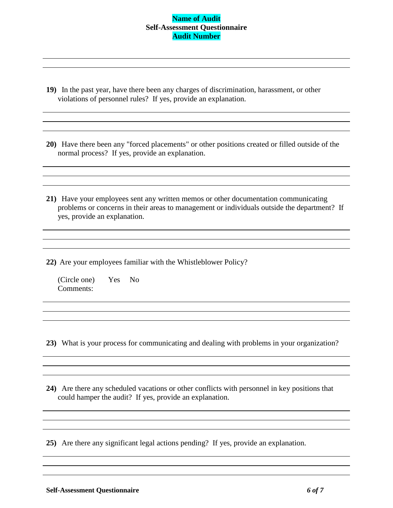- **19)** In the past year, have there been any charges of discrimination, harassment, or other violations of personnel rules? If yes, provide an explanation.
- **20)** Have there been any "forced placements" or other positions created or filled outside of the normal process? If yes, provide an explanation.
- **21)** Have your employees sent any written memos or other documentation communicating problems or concerns in their areas to management or individuals outside the department? If yes, provide an explanation.
- **22)** Are your employees familiar with the Whistleblower Policy?

(Circle one) Yes No Comments:

**23)** What is your process for communicating and dealing with problems in your organization?

**24)** Are there any scheduled vacations or other conflicts with personnel in key positions that could hamper the audit? If yes, provide an explanation.

**25)** Are there any significant legal actions pending? If yes, provide an explanation.